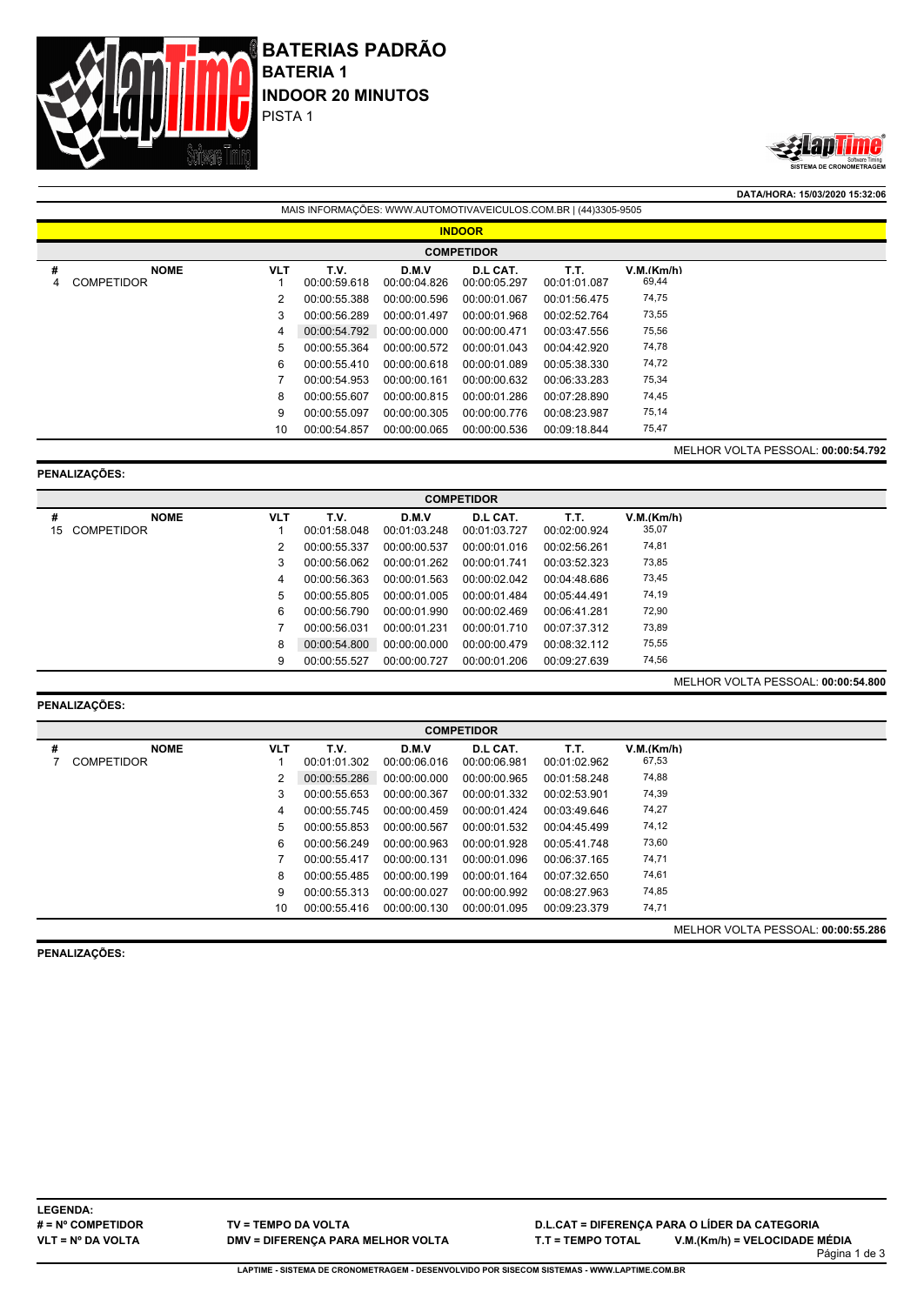



**DATA/HORA: 15/03/2020 15:32:06**

|                   | <b>INDOOR</b> |            |              |              |              |              |                                    |  |  |  |
|-------------------|---------------|------------|--------------|--------------|--------------|--------------|------------------------------------|--|--|--|
| <b>COMPETIDOR</b> |               |            |              |              |              |              |                                    |  |  |  |
| #                 | <b>NOME</b>   | <b>VLT</b> | T.V.         | D.M.V        | D.L CAT.     | T.T.         | V.M.(Km/h)                         |  |  |  |
| 4                 | COMPETIDOR    |            | 00:00:59.618 | 00:00:04.826 | 00:00:05.297 | 00:01:01.087 | 69,44                              |  |  |  |
|                   |               | 2          | 00:00:55.388 | 00:00:00.596 | 00:00:01.067 | 00:01:56.475 | 74,75                              |  |  |  |
|                   |               | 3          | 00:00:56.289 | 00:00:01.497 | 00:00:01.968 | 00:02:52.764 | 73,55                              |  |  |  |
|                   |               | 4          | 00:00:54.792 | 00:00:00.000 | 00:00:00.471 | 00:03:47.556 | 75,56                              |  |  |  |
|                   |               | 5          | 00:00:55.364 | 00:00:00.572 | 00:00:01.043 | 00:04:42.920 | 74,78                              |  |  |  |
|                   |               | 6          | 00:00:55.410 | 00:00:00.618 | 00:00:01.089 | 00:05:38.330 | 74,72                              |  |  |  |
|                   |               |            | 00:00:54.953 | 00:00:00.161 | 00:00:00.632 | 00:06:33.283 | 75,34                              |  |  |  |
|                   |               | 8          | 00:00:55.607 | 00:00:00.815 | 00:00:01.286 | 00:07:28.890 | 74,45                              |  |  |  |
|                   |               | 9          | 00:00:55.097 | 00:00:00.305 | 00:00:00.776 | 00:08:23.987 | 75,14                              |  |  |  |
|                   |               | 10         | 00:00:54.857 | 00:00:00.065 | 00:00:00.536 | 00:09:18.844 | 75,47                              |  |  |  |
|                   |               |            |              |              |              |              | MELHOR VOLTA PESSOAL: 00:00:54.792 |  |  |  |

MAIS INFORMAÇÕES: WWW.AUTOMOTIVAVEICULOS.COM.BR | (44)3305-9505

#### **PENALIZAÇÕES:**

| <b>COMPETIDOR</b>       |            |              |              |              |              |            |                                    |  |  |  |
|-------------------------|------------|--------------|--------------|--------------|--------------|------------|------------------------------------|--|--|--|
| #<br><b>NOME</b>        | <b>VLT</b> | T.V.         | D.M.V        | D.L CAT.     | T.T.         | V.M.(Km/h) |                                    |  |  |  |
| <b>COMPETIDOR</b><br>15 |            | 00:01:58.048 | 00:01:03.248 | 00:01:03.727 | 00:02:00.924 | 35,07      |                                    |  |  |  |
|                         | 2          | 00:00:55.337 | 00:00:00.537 | 00:00:01.016 | 00:02:56.261 | 74,81      |                                    |  |  |  |
|                         | 3          | 00:00:56.062 | 00:00:01.262 | 00:00:01.741 | 00:03:52.323 | 73,85      |                                    |  |  |  |
|                         | 4          | 00:00:56.363 | 00:00:01.563 | 00:00:02.042 | 00:04:48.686 | 73,45      |                                    |  |  |  |
|                         | 5          | 00:00:55.805 | 00:00:01.005 | 00:00:01.484 | 00:05:44.491 | 74,19      |                                    |  |  |  |
|                         | 6          | 00:00:56.790 | 00:00:01.990 | 00:00:02.469 | 00:06:41.281 | 72,90      |                                    |  |  |  |
|                         |            | 00:00:56.031 | 00:00:01.231 | 00:00:01.710 | 00:07:37.312 | 73,89      |                                    |  |  |  |
|                         | 8          | 00:00:54.800 | 00:00:00.000 | 00:00:00.479 | 00:08:32.112 | 75,55      |                                    |  |  |  |
|                         | 9          | 00:00:55.527 | 00:00:00.727 | 00:00:01.206 | 00:09:27.639 | 74,56      |                                    |  |  |  |
|                         |            |              |              |              |              |            | MELHOR VOLTA PESSOAL: 00:00:54.800 |  |  |  |

# **PENALIZAÇÕES:**

|   | <b>COMPETIDOR</b> |            |              |              |              |              |                                    |  |  |  |
|---|-------------------|------------|--------------|--------------|--------------|--------------|------------------------------------|--|--|--|
| # | <b>NOME</b>       | <b>VLT</b> | T.V.         | D.M.V        | D.L CAT.     | Т.Т.         | V.M.(Km/h)                         |  |  |  |
|   | <b>COMPETIDOR</b> |            | 00:01:01.302 | 00:00:06.016 | 00:00:06.981 | 00:01:02.962 | 67,53                              |  |  |  |
|   |                   | 2          | 00:00:55.286 | 00:00:00.000 | 00:00:00.965 | 00:01:58.248 | 74,88                              |  |  |  |
|   |                   | 3          | 00:00:55.653 | 00:00:00.367 | 00:00:01.332 | 00:02:53.901 | 74,39                              |  |  |  |
|   |                   | 4          | 00:00:55.745 | 00:00:00.459 | 00:00:01.424 | 00:03:49.646 | 74,27                              |  |  |  |
|   |                   | 5          | 00:00:55.853 | 00:00:00.567 | 00:00:01.532 | 00:04:45.499 | 74,12                              |  |  |  |
|   |                   | 6          | 00:00:56.249 | 00:00:00.963 | 00:00:01.928 | 00:05:41.748 | 73,60                              |  |  |  |
|   |                   |            | 00:00:55.417 | 00:00:00.131 | 00:00:01.096 | 00:06:37.165 | 74,71                              |  |  |  |
|   |                   | 8          | 00:00:55.485 | 00:00:00.199 | 00:00:01.164 | 00:07:32.650 | 74,61                              |  |  |  |
|   |                   | 9          | 00:00:55.313 | 00:00:00.027 | 00:00:00.992 | 00:08:27.963 | 74,85                              |  |  |  |
|   |                   | 10         | 00:00:55.416 | 00:00:00.130 | 00:00:01.095 | 00:09:23.379 | 74,71                              |  |  |  |
|   |                   |            |              |              |              |              | MELHOR VOLTA PESSOAL: 00:00:55.286 |  |  |  |

**PENALIZAÇÕES:**

**LEGENDA: # = Nº COMPETIDOR VLT = Nº DA VOLTA**

**D.L.CAT = DIFERENÇA PARA O LÍDER DA CATEGORIA T.T = TEMPO TOTAL V.M.(Km/h) = VELOCIDADE MÉDIA**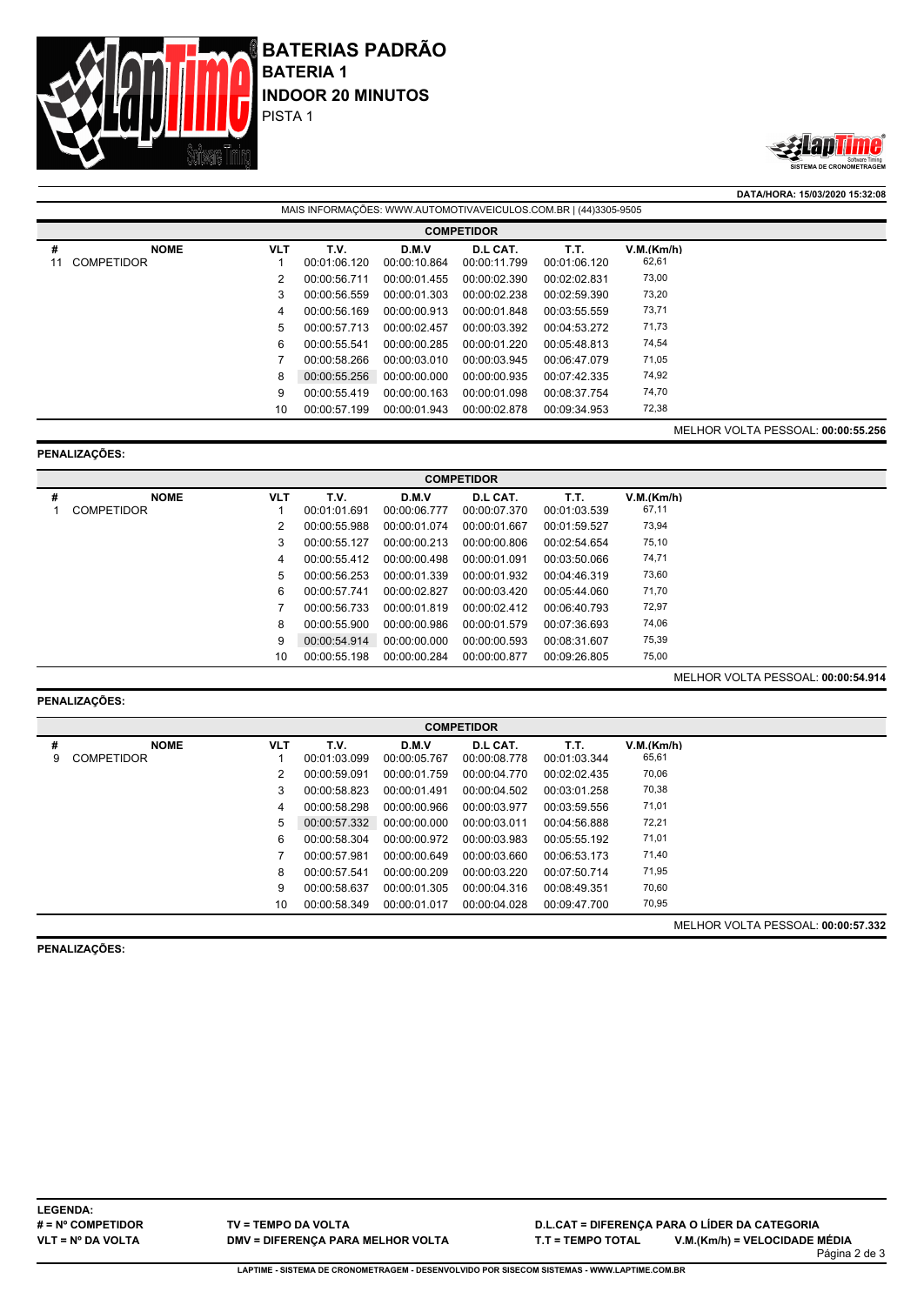



**DATA/HORA: 15/03/2020 15:32:08**

|         | MAIS INFORMACOES: WWW.AUTOMOTIVAVEICULOS.COM.BR   (44)3305-9505 |            |                      |                       |                          |                      |                     |                                    |  |  |
|---------|-----------------------------------------------------------------|------------|----------------------|-----------------------|--------------------------|----------------------|---------------------|------------------------------------|--|--|
|         | <b>COMPETIDOR</b>                                               |            |                      |                       |                          |                      |                     |                                    |  |  |
| #<br>11 | <b>NOME</b><br><b>COMPETIDOR</b>                                | <b>VLT</b> | T.V.<br>00:01:06.120 | D.M.V<br>00:00:10.864 | D.L CAT.<br>00:00:11.799 | T.T.<br>00:01:06.120 | V.M.(Km/h)<br>62,61 |                                    |  |  |
|         |                                                                 | 2          | 00:00:56.711         | 00:00:01.455          | 00:00:02.390             | 00:02:02.831         | 73,00               |                                    |  |  |
|         |                                                                 | 3          | 00:00:56.559         | 00:00:01.303          | 00:00:02.238             | 00:02:59.390         | 73,20               |                                    |  |  |
|         |                                                                 | 4          | 00:00:56.169         | 00:00:00.913          | 00:00:01.848             | 00:03:55.559         | 73,71               |                                    |  |  |
|         |                                                                 | 5          | 00:00:57.713         | 00:00:02.457          | 00:00:03.392             | 00:04:53.272         | 71,73               |                                    |  |  |
|         |                                                                 | 6          | 00:00:55.541         | 00:00:00.285          | 00:00:01.220             | 00:05:48.813         | 74,54               |                                    |  |  |
|         |                                                                 |            | 00:00:58.266         | 00:00:03.010          | 00:00:03.945             | 00:06:47.079         | 71,05               |                                    |  |  |
|         |                                                                 | 8          | 00:00:55.256         | 00:00:00.000          | 00:00:00.935             | 00:07:42.335         | 74,92               |                                    |  |  |
|         |                                                                 | 9          | 00:00:55.419         | 00:00:00.163          | 00:00:01.098             | 00:08:37.754         | 74,70               |                                    |  |  |
|         |                                                                 | 10         | 00:00:57.199         | 00:00:01.943          | 00:00:02.878             | 00:09:34.953         | 72,38               |                                    |  |  |
|         |                                                                 |            |                      |                       |                          |                      |                     | MELHOR VOLTA PESSOAL: 00:00:55.256 |  |  |

### **PENALIZAÇÕES:**

|   | <b>COMPETIDOR</b> |            |              |              |              |              |            |  |  |  |  |
|---|-------------------|------------|--------------|--------------|--------------|--------------|------------|--|--|--|--|
| # | <b>NOME</b>       | <b>VLT</b> | T.V.         | D.M.V        | D.L CAT.     | T.T.         | V.M.(Km/h) |  |  |  |  |
|   | <b>COMPETIDOR</b> |            | 00:01:01.691 | 00:00:06.777 | 00:00:07.370 | 00:01:03.539 | 67,11      |  |  |  |  |
|   |                   | 2          | 00:00:55.988 | 00:00:01.074 | 00:00:01.667 | 00:01:59.527 | 73,94      |  |  |  |  |
|   |                   | 3          | 00:00:55.127 | 00:00:00.213 | 00:00:00.806 | 00:02:54.654 | 75,10      |  |  |  |  |
|   |                   | 4          | 00:00:55.412 | 00:00:00.498 | 00:00:01.091 | 00:03:50.066 | 74,71      |  |  |  |  |
|   |                   | 5          | 00:00:56.253 | 00:00:01.339 | 00:00:01.932 | 00:04:46.319 | 73,60      |  |  |  |  |
|   |                   | 6          | 00:00:57.741 | 00:00:02.827 | 00:00:03.420 | 00:05:44.060 | 71,70      |  |  |  |  |
|   |                   |            | 00:00:56.733 | 00:00:01.819 | 00:00:02.412 | 00:06:40.793 | 72,97      |  |  |  |  |
|   |                   | 8          | 00:00:55.900 | 00:00:00.986 | 00:00:01.579 | 00:07:36.693 | 74,06      |  |  |  |  |
|   |                   | 9          | 00:00:54.914 | 00:00:00.000 | 00:00:00.593 | 00:08:31.607 | 75,39      |  |  |  |  |
|   |                   | 10         | 00:00:55.198 | 00:00:00.284 | 00:00:00.877 | 00:09:26.805 | 75,00      |  |  |  |  |

### **PENALIZAÇÕES:**

| # | <b>NOME</b>       | <b>VLT</b> | T.V.         | D.M.V        | D.L CAT.     | T.T.         | V.M.(Km/h) |  |
|---|-------------------|------------|--------------|--------------|--------------|--------------|------------|--|
| 9 | <b>COMPETIDOR</b> |            | 00:01:03.099 | 00:00:05.767 | 00:00:08.778 | 00:01:03.344 | 65,61      |  |
|   |                   | 2          | 00:00:59.091 | 00:00:01.759 | 00:00:04.770 | 00:02:02.435 | 70,06      |  |
|   |                   | 3          | 00:00:58.823 | 00:00:01.491 | 00:00:04.502 | 00:03:01.258 | 70,38      |  |
|   |                   | 4          | 00:00:58.298 | 00:00:00.966 | 00:00:03.977 | 00:03:59.556 | 71,01      |  |
|   |                   | 5          | 00:00:57.332 | 00:00:00.000 | 00:00:03.011 | 00:04:56.888 | 72,21      |  |
|   |                   | 6          | 00:00:58.304 | 00:00:00.972 | 00:00:03.983 | 00:05:55.192 | 71,01      |  |
|   |                   |            | 00:00:57.981 | 00:00:00.649 | 00:00:03.660 | 00:06:53.173 | 71,40      |  |
|   |                   | 8          | 00:00:57.541 | 00:00:00.209 | 00:00:03.220 | 00:07:50.714 | 71,95      |  |
|   |                   | 9          | 00:00:58.637 | 00:00:01.305 | 00:00:04.316 | 00:08:49.351 | 70,60      |  |
|   |                   | 10         | 00:00:58.349 | 00:00:01.017 | 00:00:04.028 | 00:09:47.700 | 70,95      |  |
|   |                   |            |              |              |              |              |            |  |

**PENALIZAÇÕES:**

MELHOR VOLTA PESSOAL: **00:00:57.332**

MELHOR VOLTA PESSOAL: **00:00:54.914**

**D.L.CAT = DIFERENÇA PARA O LÍDER DA CATEGORIA T.T = TEMPO TOTAL V.M.(Km/h) = VELOCIDADE MÉDIA**